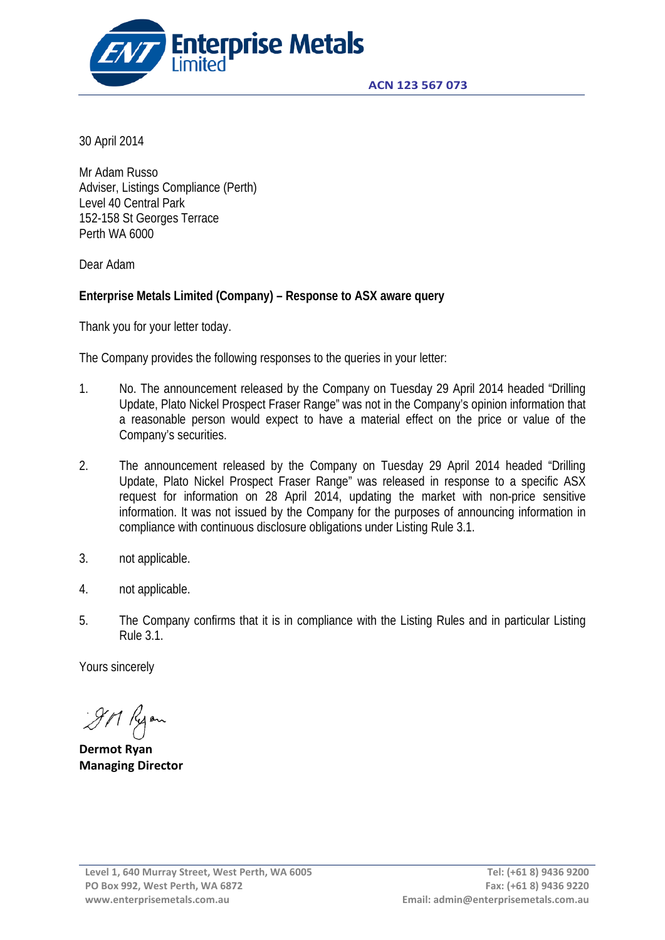

30 April 2014

Mr Adam Russo Adviser, Listings Compliance (Perth) Level 40 Central Park 152-158 St Georges Terrace Perth WA 6000

Dear Adam

# **Enterprise Metals Limited (Company) – Response to ASX aware query**

Thank you for your letter today.

The Company provides the following responses to the queries in your letter:

- 1. No. The announcement released by the Company on Tuesday 29 April 2014 headed "Drilling Update, Plato Nickel Prospect Fraser Range" was not in the Company's opinion information that a reasonable person would expect to have a material effect on the price or value of the Company's securities.
- 2. The announcement released by the Company on Tuesday 29 April 2014 headed "Drilling Update, Plato Nickel Prospect Fraser Range" was released in response to a specific ASX request for information on 28 April 2014, updating the market with non-price sensitive information. It was not issued by the Company for the purposes of announcing information in compliance with continuous disclosure obligations under Listing Rule 3.1.
- 3. not applicable.
- 4. not applicable.
- 5. The Company confirms that it is in compliance with the Listing Rules and in particular Listing Rule 3.1.

Yours sincerely

9M Ryon

**Dermot Ryan Managing Director**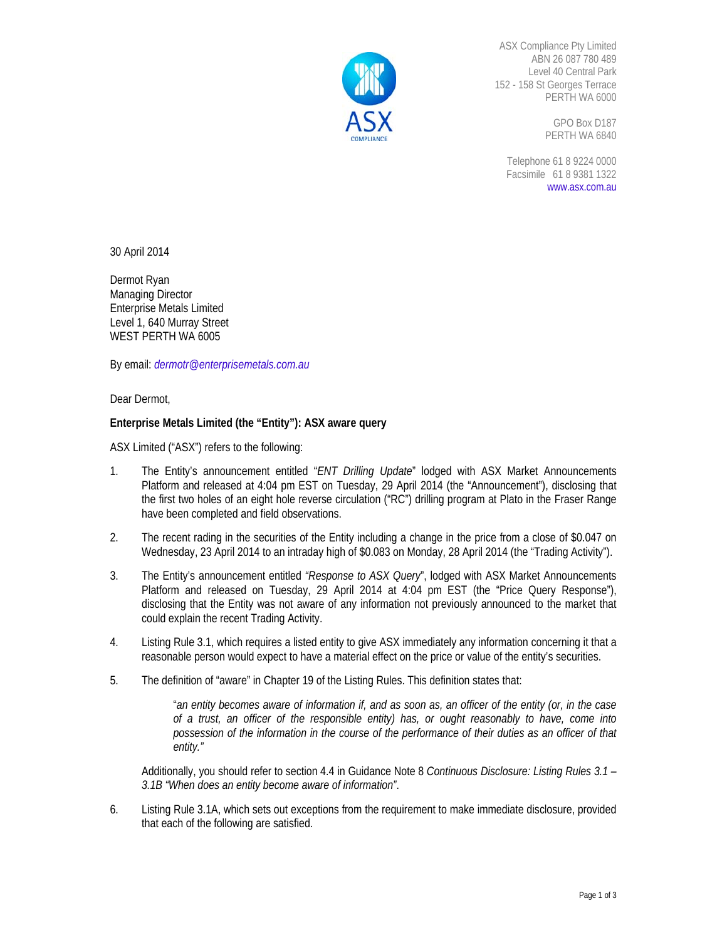

ASX Compliance Pty Limited ABN 26 087 780 489 Level 40 Central Park 152 - 158 St Georges Terrace PERTH WA 6000

> GPO Box D187 PERTH WA 6840

Telephone 61 8 9224 0000 Facsimile 61 8 9381 1322 www.asx.com.au

30 April 2014

Dermot Ryan Managing Director Enterprise Metals Limited Level 1, 640 Murray Street WEST PERTH WA 6005

By email: *dermotr@enterprisemetals.com.au*

Dear Dermot,

## **Enterprise Metals Limited (the "Entity"): ASX aware query**

ASX Limited ("ASX") refers to the following:

- 1. The Entity's announcement entitled "*ENT Drilling Update*" lodged with ASX Market Announcements Platform and released at 4:04 pm EST on Tuesday, 29 April 2014 (the "Announcement"), disclosing that the first two holes of an eight hole reverse circulation ("RC") drilling program at Plato in the Fraser Range have been completed and field observations.
- 2. The recent rading in the securities of the Entity including a change in the price from a close of \$0.047 on Wednesday, 23 April 2014 to an intraday high of \$0.083 on Monday, 28 April 2014 (the "Trading Activity").
- 3. The Entity's announcement entitled *"Response to ASX Query*", lodged with ASX Market Announcements Platform and released on Tuesday, 29 April 2014 at 4:04 pm EST (the "Price Query Response"), disclosing that the Entity was not aware of any information not previously announced to the market that could explain the recent Trading Activity.
- 4. Listing Rule 3.1, which requires a listed entity to give ASX immediately any information concerning it that a reasonable person would expect to have a material effect on the price or value of the entity's securities.
- 5. The definition of "aware" in Chapter 19 of the Listing Rules. This definition states that:

"*an entity becomes aware of information if, and as soon as, an officer of the entity (or, in the case of a trust, an officer of the responsible entity) has, or ought reasonably to have, come into possession of the information in the course of the performance of their duties as an officer of that entity."* 

Additionally, you should refer to section 4.4 in Guidance Note 8 *Continuous Disclosure: Listing Rules 3.1 – 3.1B "When does an entity become aware of information"*.

6. Listing Rule 3.1A, which sets out exceptions from the requirement to make immediate disclosure, provided that each of the following are satisfied.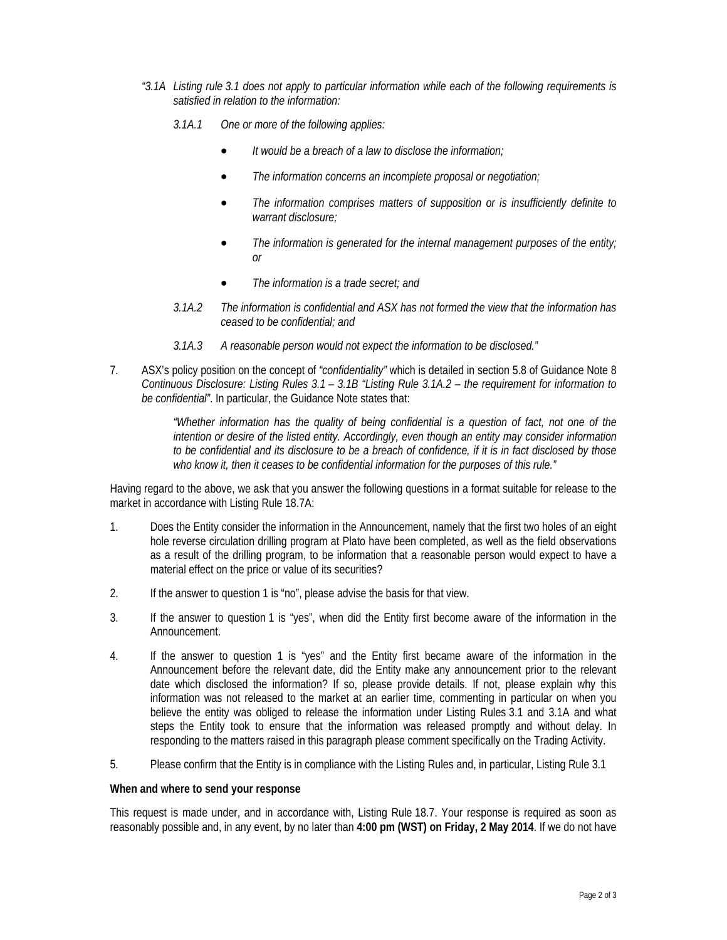- *"3.1A Listing rule 3.1 does not apply to particular information while each of the following requirements is satisfied in relation to the information:* 
	- *3.1A.1 One or more of the following applies:* 
		- *It would be a breach of a law to disclose the information;*
		- *The information concerns an incomplete proposal or negotiation;*
		- *The information comprises matters of supposition or is insufficiently definite to warrant disclosure;*
		- *The information is generated for the internal management purposes of the entity; or*
		- *The information is a trade secret; and*
	- *3.1A.2 The information is confidential and ASX has not formed the view that the information has ceased to be confidential; and*
	- *3.1A.3 A reasonable person would not expect the information to be disclosed."*
- 7. ASX's policy position on the concept of *"confidentiality"* which is detailed in section 5.8 of Guidance Note 8 *Continuous Disclosure: Listing Rules 3.1 – 3.1B "Listing Rule 3.1A.2 – the requirement for information to be confidential"*. In particular, the Guidance Note states that:

*"Whether information has the quality of being confidential is a question of fact, not one of the intention or desire of the listed entity. Accordingly, even though an entity may consider information to be confidential and its disclosure to be a breach of confidence, if it is in fact disclosed by those who know it, then it ceases to be confidential information for the purposes of this rule."* 

Having regard to the above, we ask that you answer the following questions in a format suitable for release to the market in accordance with Listing Rule 18.7A:

- 1. Does the Entity consider the information in the Announcement, namely that the first two holes of an eight hole reverse circulation drilling program at Plato have been completed, as well as the field observations as a result of the drilling program, to be information that a reasonable person would expect to have a material effect on the price or value of its securities?
- 2. If the answer to question 1 is "no", please advise the basis for that view.
- 3. If the answer to question 1 is "yes", when did the Entity first become aware of the information in the Announcement.
- 4. If the answer to question 1 is "yes" and the Entity first became aware of the information in the Announcement before the relevant date, did the Entity make any announcement prior to the relevant date which disclosed the information? If so, please provide details. If not, please explain why this information was not released to the market at an earlier time, commenting in particular on when you believe the entity was obliged to release the information under Listing Rules 3.1 and 3.1A and what steps the Entity took to ensure that the information was released promptly and without delay. In responding to the matters raised in this paragraph please comment specifically on the Trading Activity.
- 5. Please confirm that the Entity is in compliance with the Listing Rules and, in particular, Listing Rule 3.1

#### **When and where to send your response**

This request is made under, and in accordance with, Listing Rule 18.7. Your response is required as soon as reasonably possible and, in any event, by no later than **4:00 pm (WST) on Friday, 2 May 2014**. If we do not have